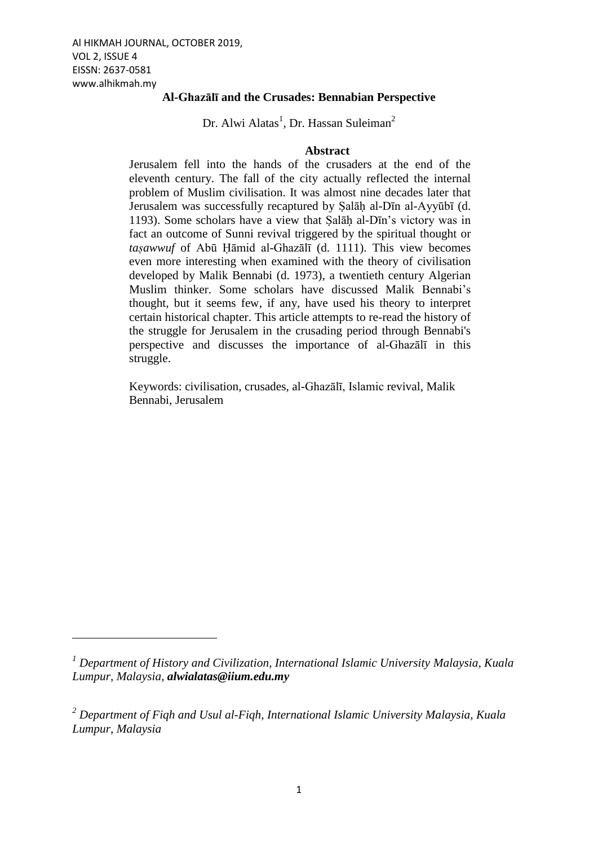1

## **Al-Ghazālī and the Crusades: Bennabian Perspective**

Dr. Alwi Alatas<sup>1</sup>, Dr. Hassan Suleiman<sup>2</sup>

### **Abstract**

Jerusalem fell into the hands of the crusaders at the end of the eleventh century. The fall of the city actually reflected the internal problem of Muslim civilisation. It was almost nine decades later that Jerusalem was successfully recaptured by Ṣalāḥ al-Dīn al-Ayyūbī (d. 1193). Some scholars have a view that Ṣalāḥ al-Dīn's victory was in fact an outcome of Sunni revival triggered by the spiritual thought or *taṣawwuf* of Abū Ḥāmid al-Ghazālī (d. 1111). This view becomes even more interesting when examined with the theory of civilisation developed by Malik Bennabi (d. 1973), a twentieth century Algerian Muslim thinker. Some scholars have discussed Malik Bennabi's thought, but it seems few, if any, have used his theory to interpret certain historical chapter. This article attempts to re-read the history of the struggle for Jerusalem in the crusading period through Bennabi's perspective and discusses the importance of al-Ghazālī in this struggle.

Keywords: civilisation, crusades, al-Ghazālī, Islamic revival, Malik Bennabi, Jerusalem

*<sup>1</sup> Department of History and Civilization, International Islamic University Malaysia, Kuala Lumpur, Malaysia, alwialatas@iium.edu.my*

*<sup>2</sup> Department of Fiqh and Usul al-Fiqh, International Islamic University Malaysia, Kuala Lumpur, Malaysia*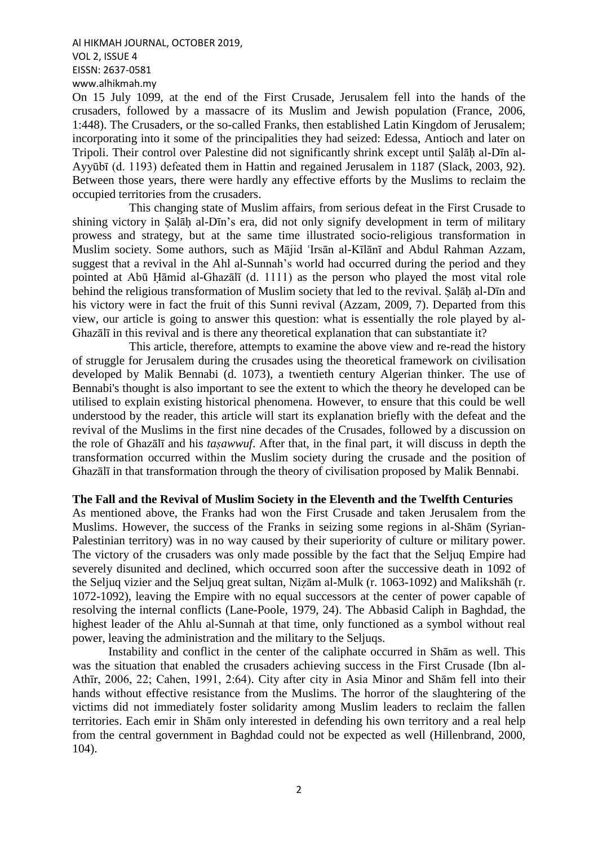On 15 July 1099, at the end of the First Crusade, Jerusalem fell into the hands of the crusaders, followed by a massacre of its Muslim and Jewish population (France, 2006, 1:448). The Crusaders, or the so-called Franks, then established Latin Kingdom of Jerusalem; incorporating into it some of the principalities they had seized: Edessa, Antioch and later on Tripoli. Their control over Palestine did not significantly shrink except until Ṣalāḥ al-Dīn al-Ayyūbī (d. 1193) defeated them in Hattin and regained Jerusalem in 1187 (Slack, 2003, 92). Between those years, there were hardly any effective efforts by the Muslims to reclaim the occupied territories from the crusaders.

This changing state of Muslim affairs, from serious defeat in the First Crusade to shining victory in Salāh al-Dīn's era, did not only signify development in term of military prowess and strategy, but at the same time illustrated socio-religious transformation in Muslim society. Some authors, such as Mājid 'Irsān al-Kīlānī and Abdul Rahman Azzam, suggest that a revival in the Ahl al-Sunnah's world had occurred during the period and they pointed at Abū Ḥāmid al-Ghazālī (d. 1111) as the person who played the most vital role behind the religious transformation of Muslim society that led to the revival. Salāh al-Dīn and his victory were in fact the fruit of this Sunni revival (Azzam, 2009, 7). Departed from this view, our article is going to answer this question: what is essentially the role played by al-Ghazālī in this revival and is there any theoretical explanation that can substantiate it?

This article, therefore, attempts to examine the above view and re-read the history of struggle for Jerusalem during the crusades using the theoretical framework on civilisation developed by Malik Bennabi (d. 1073), a twentieth century Algerian thinker. The use of Bennabi's thought is also important to see the extent to which the theory he developed can be utilised to explain existing historical phenomena. However, to ensure that this could be well understood by the reader, this article will start its explanation briefly with the defeat and the revival of the Muslims in the first nine decades of the Crusades, followed by a discussion on the role of Ghazālī and his *taṣawwuf*. After that, in the final part, it will discuss in depth the transformation occurred within the Muslim society during the crusade and the position of Ghazālī in that transformation through the theory of civilisation proposed by Malik Bennabi.

#### **The Fall and the Revival of Muslim Society in the Eleventh and the Twelfth Centuries**

As mentioned above, the Franks had won the First Crusade and taken Jerusalem from the Muslims. However, the success of the Franks in seizing some regions in al-Shām (Syrian-Palestinian territory) was in no way caused by their superiority of culture or military power. The victory of the crusaders was only made possible by the fact that the Seljuq Empire had severely disunited and declined, which occurred soon after the successive death in 1092 of the Seljuq vizier and the Seljuq great sultan, Niẓām al-Mulk (r. 1063-1092) and Malikshāh (r. 1072-1092), leaving the Empire with no equal successors at the center of power capable of resolving the internal conflicts (Lane-Poole, 1979, 24). The Abbasid Caliph in Baghdad, the highest leader of the Ahlu al-Sunnah at that time, only functioned as a symbol without real power, leaving the administration and the military to the Seljuqs.

Instability and conflict in the center of the caliphate occurred in Shām as well. This was the situation that enabled the crusaders achieving success in the First Crusade (Ibn al-Athīr, 2006, 22; Cahen, 1991, 2:64). City after city in Asia Minor and Shām fell into their hands without effective resistance from the Muslims. The horror of the slaughtering of the victims did not immediately foster solidarity among Muslim leaders to reclaim the fallen territories. Each emir in Shām only interested in defending his own territory and a real help from the central government in Baghdad could not be expected as well (Hillenbrand, 2000, 104).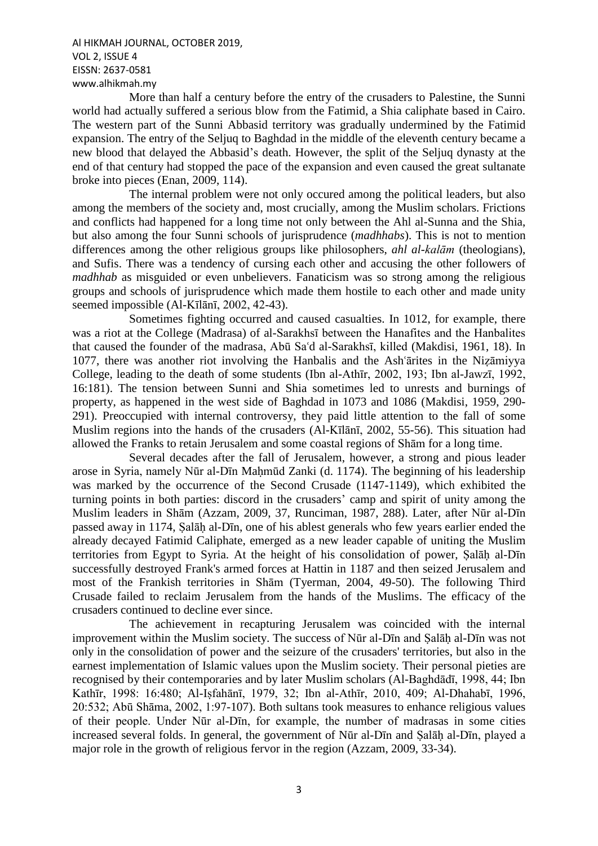More than half a century before the entry of the crusaders to Palestine, the Sunni world had actually suffered a serious blow from the Fatimid, a Shia caliphate based in Cairo. The western part of the Sunni Abbasid territory was gradually undermined by the Fatimid expansion. The entry of the Seljuq to Baghdad in the middle of the eleventh century became a new blood that delayed the Abbasid's death. However, the split of the Seljuq dynasty at the end of that century had stopped the pace of the expansion and even caused the great sultanate broke into pieces (Enan, 2009, 114).

The internal problem were not only occured among the political leaders, but also among the members of the society and, most crucially, among the Muslim scholars. Frictions and conflicts had happened for a long time not only between the Ahl al-Sunna and the Shia, but also among the four Sunni schools of jurisprudence (*madhhabs*). This is not to mention differences among the other religious groups like philosophers, *ahl al-kalām* (theologians), and Sufis. There was a tendency of cursing each other and accusing the other followers of *madhhab* as misguided or even unbelievers. Fanaticism was so strong among the religious groups and schools of jurisprudence which made them hostile to each other and made unity seemed impossible (Al-Kīlānī, 2002, 42-43).

Sometimes fighting occurred and caused casualties. In 1012, for example, there was a riot at the College (Madrasa) of al-Sarakhsī between the Hanafites and the Hanbalites that caused the founder of the madrasa, Abū Sa'd al-Sarakhsī, killed (Makdisi, 1961, 18). In 1077, there was another riot involving the Hanbalis and the Ash arities in the Nizamiyya College, leading to the death of some students (Ibn al-Athīr, 2002, 193; Ibn al-Jawzī, 1992, 16:181). The tension between Sunni and Shia sometimes led to unrests and burnings of property, as happened in the west side of Baghdad in 1073 and 1086 (Makdisi, 1959, 290- 291). Preoccupied with internal controversy, they paid little attention to the fall of some Muslim regions into the hands of the crusaders (Al-Kīlānī, 2002, 55-56). This situation had allowed the Franks to retain Jerusalem and some coastal regions of Shām for a long time.

Several decades after the fall of Jerusalem, however, a strong and pious leader arose in Syria, namely Nūr al-Dīn Mahmūd Zanki (d. 1174). The beginning of his leadership was marked by the occurrence of the Second Crusade (1147-1149), which exhibited the turning points in both parties: discord in the crusaders' camp and spirit of unity among the Muslim leaders in Shām (Azzam, 2009, 37, Runciman, 1987, 288). Later, after Nūr al-Dīn passed away in 1174, Ṣalāḥ al-Dīn, one of his ablest generals who few years earlier ended the already decayed Fatimid Caliphate, emerged as a new leader capable of uniting the Muslim territories from Egypt to Syria. At the height of his consolidation of power, Ṣalāḥ al-Dīn successfully destroyed Frank's armed forces at Hattin in 1187 and then seized Jerusalem and most of the Frankish territories in Shām (Tyerman, 2004, 49-50). The following Third Crusade failed to reclaim Jerusalem from the hands of the Muslims. The efficacy of the crusaders continued to decline ever since.

The achievement in recapturing Jerusalem was coincided with the internal improvement within the Muslim society. The success of Nūr al-Dīn and Ṣalāḥ al-Dīn was not only in the consolidation of power and the seizure of the crusaders' territories, but also in the earnest implementation of Islamic values upon the Muslim society. Their personal pieties are recognised by their contemporaries and by later Muslim scholars (Al-Baghdādī, 1998, 44; Ibn Kathīr, 1998: 16:480; Al-Iṣfahānī, 1979, 32; Ibn al-Athīr, 2010, 409; Al-Dhahabī, 1996, 20:532; Abū Shāma, 2002, 1:97-107). Both sultans took measures to enhance religious values of their people. Under Nūr al-Dīn, for example, the number of madrasas in some cities increased several folds. In general, the government of Nūr al-Dīn and Ṣalāḥ al-Dīn, played a major role in the growth of religious fervor in the region (Azzam, 2009, 33-34).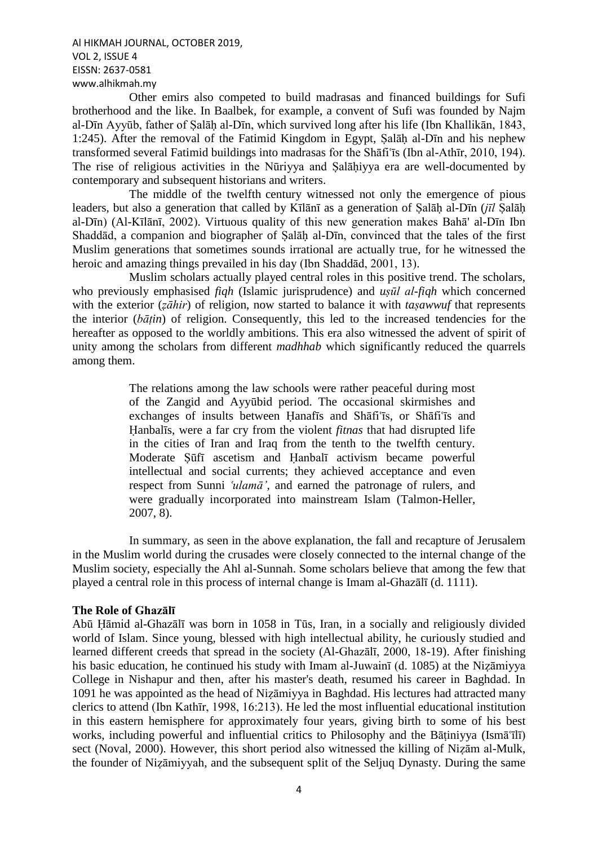Other emirs also competed to build madrasas and financed buildings for Sufi brotherhood and the like. In Baalbek, for example, a convent of Sufi was founded by Najm al-Dīn Ayyūb, father of Ṣalāḥ al-Dīn, which survived long after his life (Ibn Khallikān, 1843, 1:245). After the removal of the Fatimid Kingdom in Egypt, Ṣalāḥ al-Dīn and his nephew transformed several Fatimid buildings into madrasas for the Shafi'is (Ibn al-Athir, 2010, 194). The rise of religious activities in the Nūriyya and Ṣalāḥiyya era are well-documented by contemporary and subsequent historians and writers.

The middle of the twelfth century witnessed not only the emergence of pious leaders, but also a generation that called by Kīlānī as a generation of Ṣalāḥ al-Dīn (*jīl* Ṣalāḥ al-Dīn) (Al-Kīlānī, 2002). Virtuous quality of this new generation makes Bahā' al-Dīn Ibn Shaddād, a companion and biographer of Ṣalāḥ al-Dīn, convinced that the tales of the first Muslim generations that sometimes sounds irrational are actually true, for he witnessed the heroic and amazing things prevailed in his day (Ibn Shaddād, 2001, 13).

Muslim scholars actually played central roles in this positive trend. The scholars, who previously emphasised *fiqh* (Islamic jurisprudence) and *uṣūl al-fiqh* which concerned with the exterior (*zāhir*) of religion, now started to balance it with *tasawwuf* that represents the interior (*bāṭin*) of religion. Consequently, this led to the increased tendencies for the hereafter as opposed to the worldly ambitions. This era also witnessed the advent of spirit of unity among the scholars from different *madhhab* which significantly reduced the quarrels among them.

> The relations among the law schools were rather peaceful during most of the Zangid and Ayyūbid period. The occasional skirmishes and exchanges of insults between Hanafīs and Shāfi'īs, or Shāfi'īs and Ḥanbalīs, were a far cry from the violent *fitnas* that had disrupted life in the cities of Iran and Iraq from the tenth to the twelfth century. Moderate Ṣūfī ascetism and Ḥanbalī activism became powerful intellectual and social currents; they achieved acceptance and even respect from Sunni 'ulamā', and earned the patronage of rulers, and were gradually incorporated into mainstream Islam (Talmon-Heller, 2007, 8).

In summary, as seen in the above explanation, the fall and recapture of Jerusalem in the Muslim world during the crusades were closely connected to the internal change of the Muslim society, especially the Ahl al-Sunnah. Some scholars believe that among the few that played a central role in this process of internal change is Imam al-Ghazālī (d. 1111).

### **The Role of Ghazālī**

Abū Ḥāmid al-Ghazālī was born in 1058 in Tūs, Iran, in a socially and religiously divided world of Islam. Since young, blessed with high intellectual ability, he curiously studied and learned different creeds that spread in the society (Al-Ghazālī, 2000, 18-19). After finishing his basic education, he continued his study with Imam al-Juwain<del>t</del> (d. 1085) at the Nizāmiyya College in Nishapur and then, after his master's death, resumed his career in Baghdad. In 1091 he was appointed as the head of Niẓāmiyya in Baghdad. His lectures had attracted many clerics to attend (Ibn Kathīr, 1998, 16:213). He led the most influential educational institution in this eastern hemisphere for approximately four years, giving birth to some of his best works, including powerful and influential critics to Philosophy and the Bātiniyya (Ismā'īlī) sect (Noval, 2000). However, this short period also witnessed the killing of Niẓām al-Mulk, the founder of Niẓāmiyyah, and the subsequent split of the Seljuq Dynasty. During the same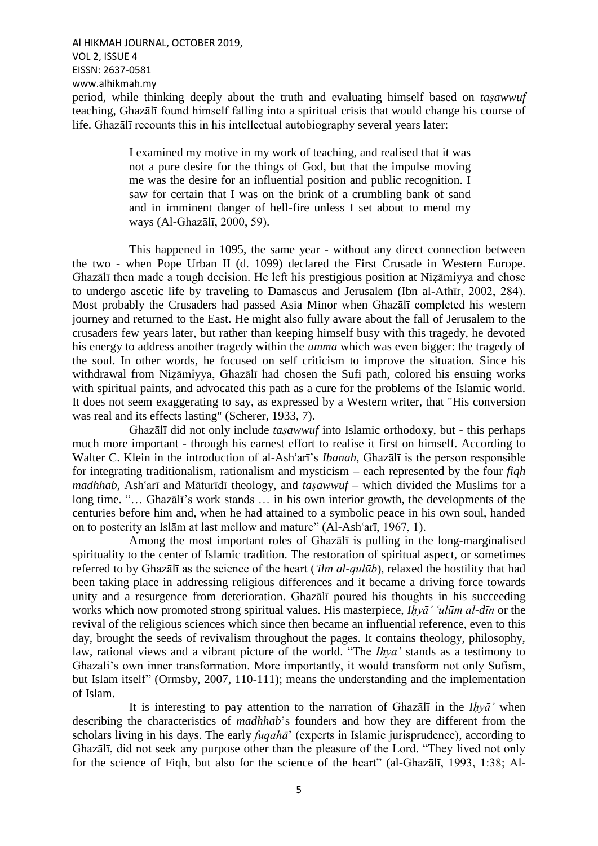Al HIKMAH JOURNAL, OCTOBER 2019, VOL 2, ISSUE 4 EISSN: 2637-0581 www.alhikmah.my period, while thinking deeply about the truth and evaluating himself based on *taṣawwuf* teaching, Ghazālī found himself falling into a spiritual crisis that would change his course of life. Ghazālī recounts this in his intellectual autobiography several years later:

> I examined my motive in my work of teaching, and realised that it was not a pure desire for the things of God, but that the impulse moving me was the desire for an influential position and public recognition. I saw for certain that I was on the brink of a crumbling bank of sand and in imminent danger of hell-fire unless I set about to mend my ways (Al-Ghazālī, 2000, 59).

This happened in 1095, the same year - without any direct connection between the two - when Pope Urban II (d. 1099) declared the First Crusade in Western Europe. Ghazālī then made a tough decision. He left his prestigious position at Niẓāmiyya and chose to undergo ascetic life by traveling to Damascus and Jerusalem (Ibn al-Athīr, 2002, 284). Most probably the Crusaders had passed Asia Minor when Ghazālī completed his western journey and returned to the East. He might also fully aware about the fall of Jerusalem to the crusaders few years later, but rather than keeping himself busy with this tragedy, he devoted his energy to address another tragedy within the *umma* which was even bigger: the tragedy of the soul. In other words, he focused on self criticism to improve the situation. Since his withdrawal from Niẓāmiyya, Ghazālī had chosen the Sufi path, colored his ensuing works with spiritual paints, and advocated this path as a cure for the problems of the Islamic world. It does not seem exaggerating to say, as expressed by a Western writer, that "His conversion was real and its effects lasting" (Scherer, 1933, 7).

Ghazālī did not only include *taṣawwuf* into Islamic orthodoxy, but - this perhaps much more important - through his earnest effort to realise it first on himself. According to Walter C. Klein in the introduction of al-Ash'ari's *Ibanah*, Ghazali is the person responsible for integrating traditionalism, rationalism and mysticism – each represented by the four *fiqh madhhab*, Ash'arī and Māturīdī theology, and *taṣawwuf* – which divided the Muslims for a long time. "… Ghazālī's work stands … in his own interior growth, the developments of the centuries before him and, when he had attained to a symbolic peace in his own soul, handed on to posterity an Islām at last mellow and mature" (Al-Ash'arī, 1967, 1).

Among the most important roles of Ghazālī is pulling in the long-marginalised spirituality to the center of Islamic tradition. The restoration of spiritual aspect, or sometimes referred to by Ghazālī as the science of the heart (*ꜥilm al-qulūb*), relaxed the hostility that had been taking place in addressing religious differences and it became a driving force towards unity and a resurgence from deterioration. Ghazālī poured his thoughts in his succeeding works which now promoted strong spiritual values. His masterpiece, *Ihyā' 'ulūm al-dīn* or the revival of the religious sciences which since then became an influential reference, even to this day, brought the seeds of revivalism throughout the pages. It contains theology, philosophy, law, rational views and a vibrant picture of the world. "The *Ihya'* stands as a testimony to Ghazali's own inner transformation. More importantly, it would transform not only Sufism, but Islam itself" (Ormsby, 2007, 110-111); means the understanding and the implementation of Islam.

It is interesting to pay attention to the narration of Ghazālī in the *Iḥyā'* when describing the characteristics of *madhhab*'s founders and how they are different from the scholars living in his days. The early *fuqahā*' (experts in Islamic jurisprudence), according to Ghazālī, did not seek any purpose other than the pleasure of the Lord. "They lived not only for the science of Fiqh, but also for the science of the heart" (al-Ghazālī, 1993, 1:38; Al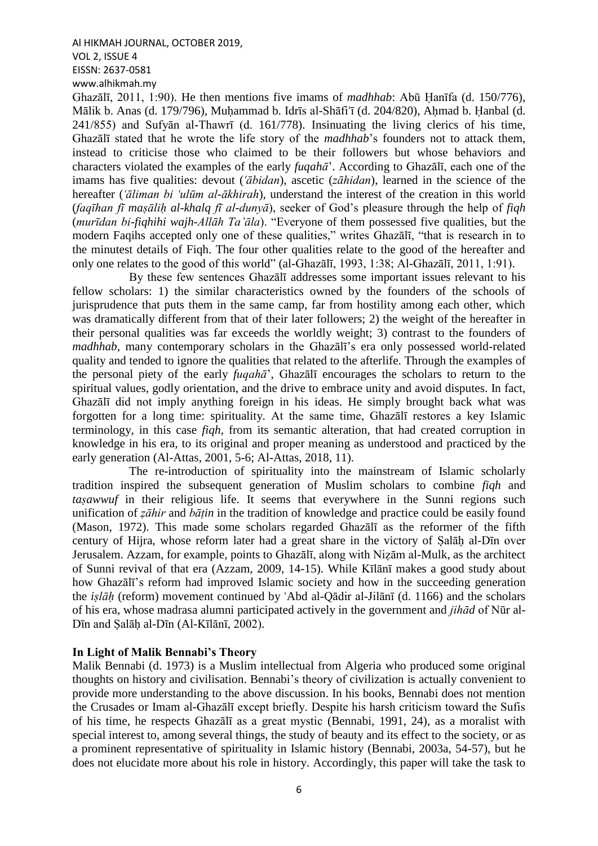Al HIKMAH JOURNAL, OCTOBER 2019, VOL 2, ISSUE 4 EISSN: 2637-0581

www.alhikmah.my

Ghazālī, 2011, 1:90). He then mentions five imams of *madhhab*: Abū Ḥanīfa (d. 150/776), Mālik b. Anas (d. 179/796), Muhammad b. Idrīs al-Shāfi'ī (d. 204/820), Ahmad b. Hanbal (d. 241/855) and Sufyān al-Thawrī (d. 161/778). Insinuating the living clerics of his time, Ghazālī stated that he wrote the life story of the *madhhab*'s founders not to attack them, instead to criticise those who claimed to be their followers but whose behaviors and characters violated the examples of the early *fuqahā*'. According to Ghazālī, each one of the imams has five qualities: devout (*ꜥābidan*), ascetic (*zāhidan*), learned in the science of the hereafter *('āliman bi 'ulūm al-ākhirah*), understand the interest of the creation in this world (*faqīhan fī maṣāliḥ al-khalq fī al-dunyā*), seeker of God's pleasure through the help of *fiqh* (*murīdan bi-fiqhihi wajh-Allāh Ta'āla*). "Everyone of them possessed five qualities, but the modern Faqihs accepted only one of these qualities," writes Ghazālī, "that is research in to the minutest details of Fiqh. The four other qualities relate to the good of the hereafter and only one relates to the good of this world" (al-Ghazālī, 1993, 1:38; Al-Ghazālī, 2011, 1:91).

By these few sentences Ghazālī addresses some important issues relevant to his fellow scholars: 1) the similar characteristics owned by the founders of the schools of jurisprudence that puts them in the same camp, far from hostility among each other, which was dramatically different from that of their later followers; 2) the weight of the hereafter in their personal qualities was far exceeds the worldly weight; 3) contrast to the founders of *madhhab*, many contemporary scholars in the Ghazālī's era only possessed world-related quality and tended to ignore the qualities that related to the afterlife. Through the examples of the personal piety of the early *fuqahā*', Ghazālī encourages the scholars to return to the spiritual values, godly orientation, and the drive to embrace unity and avoid disputes. In fact, Ghazālī did not imply anything foreign in his ideas. He simply brought back what was forgotten for a long time: spirituality. At the same time, Ghazālī restores a key Islamic terminology, in this case *fiqh*, from its semantic alteration, that had created corruption in knowledge in his era, to its original and proper meaning as understood and practiced by the early generation (Al-Attas, 2001, 5-6; Al-Attas, 2018, 11).

The re-introduction of spirituality into the mainstream of Islamic scholarly tradition inspired the subsequent generation of Muslim scholars to combine *fiqh* and *tasawwuf* in their religious life. It seems that everywhere in the Sunni regions such unification of *ẓāhir* and *bāṭin* in the tradition of knowledge and practice could be easily found (Mason, 1972). This made some scholars regarded Ghazālī as the reformer of the fifth century of Hijra, whose reform later had a great share in the victory of Ṣalāḥ al-Dīn over Jerusalem. Azzam, for example, points to Ghazālī, along with Niẓām al-Mulk, as the architect of Sunni revival of that era (Azzam, 2009, 14-15). While Kīlānī makes a good study about how Ghazālī's reform had improved Islamic society and how in the succeeding generation the *islāh* (reform) movement continued by 'Abd al-Qādir al-Jilānī (d. 1166) and the scholars of his era, whose madrasa alumni participated actively in the government and *jihād* of Nūr al-Dīn and Ṣalāḥ al-Dīn (Al-Kīlānī, 2002).

# **In Light of Malik Bennabi's Theory**

Malik Bennabi (d. 1973) is a Muslim intellectual from Algeria who produced some original thoughts on history and civilisation. Bennabi's theory of civilization is actually convenient to provide more understanding to the above discussion. In his books, Bennabi does not mention the Crusades or Imam al-Ghazālī except briefly. Despite his harsh criticism toward the Sufis of his time, he respects Ghazālī as a great mystic (Bennabi, 1991, 24), as a moralist with special interest to, among several things, the study of beauty and its effect to the society, or as a prominent representative of spirituality in Islamic history (Bennabi, 2003a, 54-57), but he does not elucidate more about his role in history. Accordingly, this paper will take the task to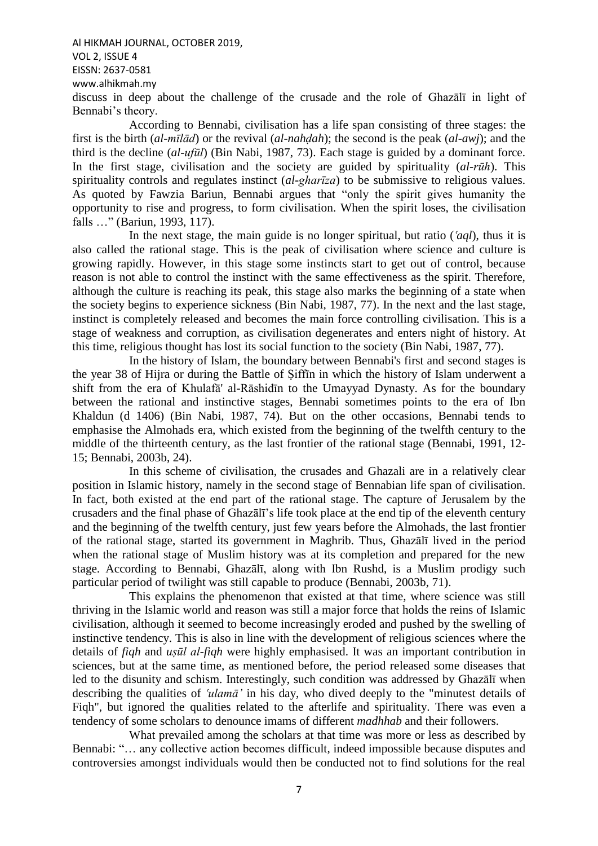Al HIKMAH JOURNAL, OCTOBER 2019, VOL 2, ISSUE 4 EISSN: 2637-0581

www.alhikmah.my

discuss in deep about the challenge of the crusade and the role of Ghazālī in light of Bennabi's theory.

According to Bennabi, civilisation has a life span consisting of three stages: the first is the birth (*al-mīlād*) or the revival (*al-nahḍah*); the second is the peak (*al-awj*); and the third is the decline (*al-ufūl*) (Bin Nabi, 1987, 73). Each stage is guided by a dominant force. In the first stage, civilisation and the society are guided by spirituality (*al-rūh*). This spirituality controls and regulates instinct (*al-gharīza*) to be submissive to religious values. As quoted by Fawzia Bariun, Bennabi argues that "only the spirit gives humanity the opportunity to rise and progress, to form civilisation. When the spirit loses, the civilisation falls …" (Bariun, 1993, 117).

In the next stage, the main guide is no longer spiritual, but ratio  $(aql)$ , thus it is also called the rational stage. This is the peak of civilisation where science and culture is growing rapidly. However, in this stage some instincts start to get out of control, because reason is not able to control the instinct with the same effectiveness as the spirit. Therefore, although the culture is reaching its peak, this stage also marks the beginning of a state when the society begins to experience sickness (Bin Nabi, 1987, 77). In the next and the last stage, instinct is completely released and becomes the main force controlling civilisation. This is a stage of weakness and corruption, as civilisation degenerates and enters night of history. At this time, religious thought has lost its social function to the society (Bin Nabi, 1987, 77).

In the history of Islam, the boundary between Bennabi's first and second stages is the year 38 of Hijra or during the Battle of Ṣiffīn in which the history of Islam underwent a shift from the era of Khulafā' al-Rāshidīn to the Umayyad Dynasty. As for the boundary between the rational and instinctive stages, Bennabi sometimes points to the era of Ibn Khaldun (d 1406) (Bin Nabi, 1987, 74). But on the other occasions, Bennabi tends to emphasise the Almohads era, which existed from the beginning of the twelfth century to the middle of the thirteenth century, as the last frontier of the rational stage (Bennabi, 1991, 12- 15; Bennabi, 2003b, 24).

In this scheme of civilisation, the crusades and Ghazali are in a relatively clear position in Islamic history, namely in the second stage of Bennabian life span of civilisation. In fact, both existed at the end part of the rational stage. The capture of Jerusalem by the crusaders and the final phase of Ghazālī's life took place at the end tip of the eleventh century and the beginning of the twelfth century, just few years before the Almohads, the last frontier of the rational stage, started its government in Maghrib. Thus, Ghazālī lived in the period when the rational stage of Muslim history was at its completion and prepared for the new stage. According to Bennabi, Ghazālī, along with Ibn Rushd, is a Muslim prodigy such particular period of twilight was still capable to produce (Bennabi, 2003b, 71).

This explains the phenomenon that existed at that time, where science was still thriving in the Islamic world and reason was still a major force that holds the reins of Islamic civilisation, although it seemed to become increasingly eroded and pushed by the swelling of instinctive tendency. This is also in line with the development of religious sciences where the details of *fiqh* and *uṣūl al-fiqh* were highly emphasised. It was an important contribution in sciences, but at the same time, as mentioned before, the period released some diseases that led to the disunity and schism. Interestingly, such condition was addressed by Ghazālī when describing the qualities of 'ulamā' in his day, who dived deeply to the "minutest details of Fiqh", but ignored the qualities related to the afterlife and spirituality. There was even a tendency of some scholars to denounce imams of different *madhhab* and their followers.

What prevailed among the scholars at that time was more or less as described by Bennabi: "… any collective action becomes difficult, indeed impossible because disputes and controversies amongst individuals would then be conducted not to find solutions for the real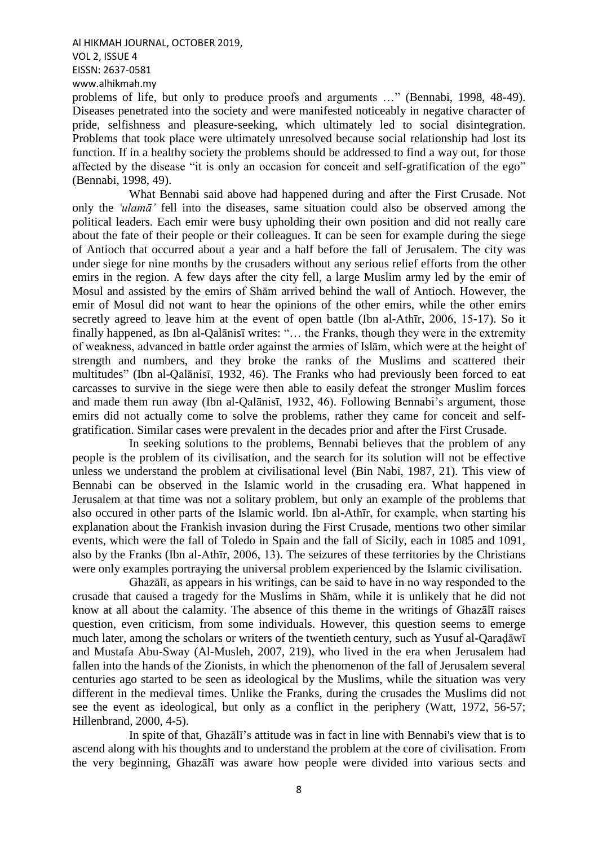problems of life, but only to produce proofs and arguments …" (Bennabi, 1998, 48-49). Diseases penetrated into the society and were manifested noticeably in negative character of pride, selfishness and pleasure-seeking, which ultimately led to social disintegration. Problems that took place were ultimately unresolved because social relationship had lost its function. If in a healthy society the problems should be addressed to find a way out, for those affected by the disease "it is only an occasion for conceit and self-gratification of the ego" (Bennabi, 1998, 49).

What Bennabi said above had happened during and after the First Crusade. Not only the *ꜥulamā'* fell into the diseases, same situation could also be observed among the political leaders. Each emir were busy upholding their own position and did not really care about the fate of their people or their colleagues. It can be seen for example during the siege of Antioch that occurred about a year and a half before the fall of Jerusalem. The city was under siege for nine months by the crusaders without any serious relief efforts from the other emirs in the region. A few days after the city fell, a large Muslim army led by the emir of Mosul and assisted by the emirs of Shām arrived behind the wall of Antioch. However, the emir of Mosul did not want to hear the opinions of the other emirs, while the other emirs secretly agreed to leave him at the event of open battle (Ibn al-Athīr, 2006, 15-17). So it finally happened, as Ibn al-Qalānisī writes: "… the Franks, though they were in the extremity of weakness, advanced in battle order against the armies of Islām, which were at the height of strength and numbers, and they broke the ranks of the Muslims and scattered their multitudes" (Ibn al-Qalānisī, 1932, 46). The Franks who had previously been forced to eat carcasses to survive in the siege were then able to easily defeat the stronger Muslim forces and made them run away (Ibn al-Qalānisī, 1932, 46). Following Bennabi's argument, those emirs did not actually come to solve the problems, rather they came for conceit and selfgratification. Similar cases were prevalent in the decades prior and after the First Crusade.

In seeking solutions to the problems, Bennabi believes that the problem of any people is the problem of its civilisation, and the search for its solution will not be effective unless we understand the problem at civilisational level (Bin Nabi, 1987, 21). This view of Bennabi can be observed in the Islamic world in the crusading era. What happened in Jerusalem at that time was not a solitary problem, but only an example of the problems that also occured in other parts of the Islamic world. Ibn al-Athīr, for example, when starting his explanation about the Frankish invasion during the First Crusade, mentions two other similar events, which were the fall of Toledo in Spain and the fall of Sicily, each in 1085 and 1091, also by the Franks (Ibn al-Athīr, 2006, 13). The seizures of these territories by the Christians were only examples portraying the universal problem experienced by the Islamic civilisation.

Ghazālī, as appears in his writings, can be said to have in no way responded to the crusade that caused a tragedy for the Muslims in Shām, while it is unlikely that he did not know at all about the calamity. The absence of this theme in the writings of Ghazālī raises question, even criticism, from some individuals. However, this question seems to emerge much later, among the scholars or writers of the twentieth century, such as Yusuf al-Qaraḍāwī and Mustafa Abu-Sway (Al-Musleh, 2007, 219), who lived in the era when Jerusalem had fallen into the hands of the Zionists, in which the phenomenon of the fall of Jerusalem several centuries ago started to be seen as ideological by the Muslims, while the situation was very different in the medieval times. Unlike the Franks, during the crusades the Muslims did not see the event as ideological, but only as a conflict in the periphery (Watt, 1972, 56-57; Hillenbrand, 2000, 4-5).

In spite of that, Ghazālī's attitude was in fact in line with Bennabi's view that is to ascend along with his thoughts and to understand the problem at the core of civilisation. From the very beginning, Ghazālī was aware how people were divided into various sects and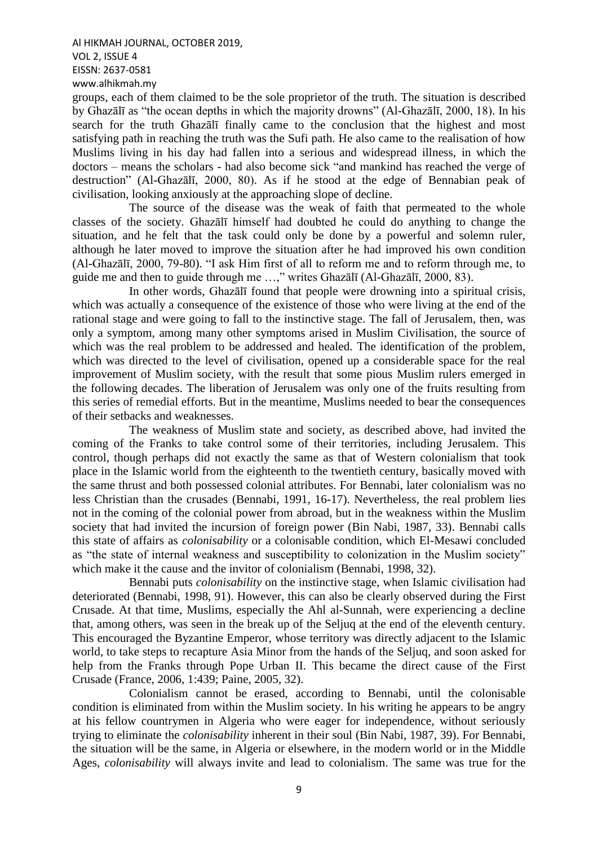groups, each of them claimed to be the sole proprietor of the truth. The situation is described by Ghazālī as "the ocean depths in which the majority drowns" (Al-Ghazālī, 2000, 18). In his search for the truth Ghazālī finally came to the conclusion that the highest and most satisfying path in reaching the truth was the Sufi path. He also came to the realisation of how Muslims living in his day had fallen into a serious and widespread illness, in which the doctors – means the scholars - had also become sick "and mankind has reached the verge of destruction" (Al-Ghazālī, 2000, 80). As if he stood at the edge of Bennabian peak of civilisation, looking anxiously at the approaching slope of decline.

The source of the disease was the weak of faith that permeated to the whole classes of the society. Ghazālī himself had doubted he could do anything to change the situation, and he felt that the task could only be done by a powerful and solemn ruler, although he later moved to improve the situation after he had improved his own condition (Al-Ghazālī, 2000, 79-80). "I ask Him first of all to reform me and to reform through me, to guide me and then to guide through me …," writes Ghazālī (Al-Ghazālī, 2000, 83).

In other words, Ghazālī found that people were drowning into a spiritual crisis, which was actually a consequence of the existence of those who were living at the end of the rational stage and were going to fall to the instinctive stage. The fall of Jerusalem, then, was only a symptom, among many other symptoms arised in Muslim Civilisation, the source of which was the real problem to be addressed and healed. The identification of the problem, which was directed to the level of civilisation, opened up a considerable space for the real improvement of Muslim society, with the result that some pious Muslim rulers emerged in the following decades. The liberation of Jerusalem was only one of the fruits resulting from this series of remedial efforts. But in the meantime, Muslims needed to bear the consequences of their setbacks and weaknesses.

The weakness of Muslim state and society, as described above, had invited the coming of the Franks to take control some of their territories, including Jerusalem. This control, though perhaps did not exactly the same as that of Western colonialism that took place in the Islamic world from the eighteenth to the twentieth century, basically moved with the same thrust and both possessed colonial attributes. For Bennabi, later colonialism was no less Christian than the crusades (Bennabi, 1991, 16-17). Nevertheless, the real problem lies not in the coming of the colonial power from abroad, but in the weakness within the Muslim society that had invited the incursion of foreign power (Bin Nabi, 1987, 33). Bennabi calls this state of affairs as *colonisability* or a colonisable condition, which El-Mesawi concluded as "the state of internal weakness and susceptibility to colonization in the Muslim society" which make it the cause and the invitor of colonialism (Bennabi, 1998, 32).

Bennabi puts *colonisability* on the instinctive stage, when Islamic civilisation had deteriorated (Bennabi, 1998, 91). However, this can also be clearly observed during the First Crusade. At that time, Muslims, especially the Ahl al-Sunnah, were experiencing a decline that, among others, was seen in the break up of the Seljuq at the end of the eleventh century. This encouraged the Byzantine Emperor, whose territory was directly adjacent to the Islamic world, to take steps to recapture Asia Minor from the hands of the Seljuq, and soon asked for help from the Franks through Pope Urban II. This became the direct cause of the First Crusade (France, 2006, 1:439; Paine, 2005, 32).

Colonialism cannot be erased, according to Bennabi, until the colonisable condition is eliminated from within the Muslim society. In his writing he appears to be angry at his fellow countrymen in Algeria who were eager for independence, without seriously trying to eliminate the *colonisability* inherent in their soul (Bin Nabi, 1987, 39). For Bennabi, the situation will be the same, in Algeria or elsewhere, in the modern world or in the Middle Ages, *colonisability* will always invite and lead to colonialism. The same was true for the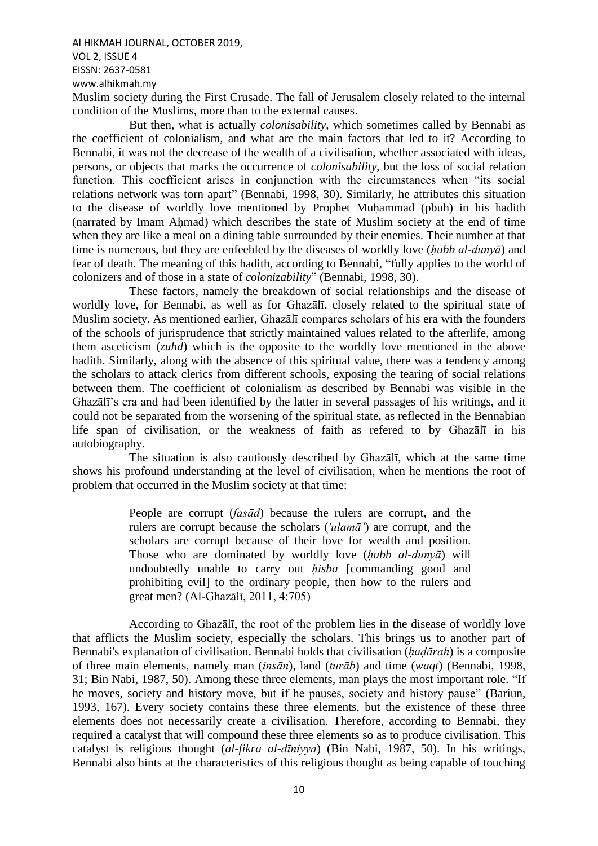Al HIKMAH JOURNAL, OCTOBER 2019, VOL 2, ISSUE 4 EISSN: 2637-0581 www.alhikmah.my Muslim society during the First Crusade. The fall of Jerusalem closely related to the internal condition of the Muslims, more than to the external causes.

But then, what is actually *colonisability*, which sometimes called by Bennabi as the coefficient of colonialism, and what are the main factors that led to it? According to Bennabi, it was not the decrease of the wealth of a civilisation, whether associated with ideas, persons, or objects that marks the occurrence of *colonisability*, but the loss of social relation function. This coefficient arises in conjunction with the circumstances when "its social relations network was torn apart" (Bennabi, 1998, 30). Similarly, he attributes this situation to the disease of worldly love mentioned by Prophet Muḥammad (pbuh) in his hadith (narrated by Imam Ahmad) which describes the state of Muslim society at the end of time when they are like a meal on a dining table surrounded by their enemies. Their number at that time is numerous, but they are enfeebled by the diseases of worldly love (*ḥubb al-dunyā*) and fear of death. The meaning of this hadith, according to Bennabi, "fully applies to the world of colonizers and of those in a state of *colonizability*" (Bennabi, 1998, 30).

These factors, namely the breakdown of social relationships and the disease of worldly love, for Bennabi, as well as for Ghazālī, closely related to the spiritual state of Muslim society. As mentioned earlier, Ghazālī compares scholars of his era with the founders of the schools of jurisprudence that strictly maintained values related to the afterlife, among them asceticism (*zuhd*) which is the opposite to the worldly love mentioned in the above hadith. Similarly, along with the absence of this spiritual value, there was a tendency among the scholars to attack clerics from different schools, exposing the tearing of social relations between them. The coefficient of colonialism as described by Bennabi was visible in the Ghazālī's era and had been identified by the latter in several passages of his writings, and it could not be separated from the worsening of the spiritual state, as reflected in the Bennabian life span of civilisation, or the weakness of faith as refered to by Ghazālī in his autobiography.

The situation is also cautiously described by Ghazālī, which at the same time shows his profound understanding at the level of civilisation, when he mentions the root of problem that occurred in the Muslim society at that time:

> People are corrupt (*fasād*) because the rulers are corrupt, and the rulers are corrupt because the scholars (*ꜥulamā'*) are corrupt, and the scholars are corrupt because of their love for wealth and position. Those who are dominated by worldly love (*ḥubb al-dunyā*) will undoubtedly unable to carry out *hisba* [commanding good and prohibiting evil] to the ordinary people, then how to the rulers and great men? (Al-Ghazālī, 2011, 4:705)

According to Ghazālī, the root of the problem lies in the disease of worldly love that afflicts the Muslim society, especially the scholars. This brings us to another part of Bennabi's explanation of civilisation. Bennabi holds that civilisation (*ḥaḍārah*) is a composite of three main elements, namely man (*insān*), land (*turāb*) and time (*waqt*) (Bennabi, 1998, 31; Bin Nabi, 1987, 50). Among these three elements, man plays the most important role. "If he moves, society and history move, but if he pauses, society and history pause" (Bariun, 1993, 167). Every society contains these three elements, but the existence of these three elements does not necessarily create a civilisation. Therefore, according to Bennabi, they required a catalyst that will compound these three elements so as to produce civilisation. This catalyst is religious thought (*al-fikra al-dīniyya*) (Bin Nabi, 1987, 50). In his writings, Bennabi also hints at the characteristics of this religious thought as being capable of touching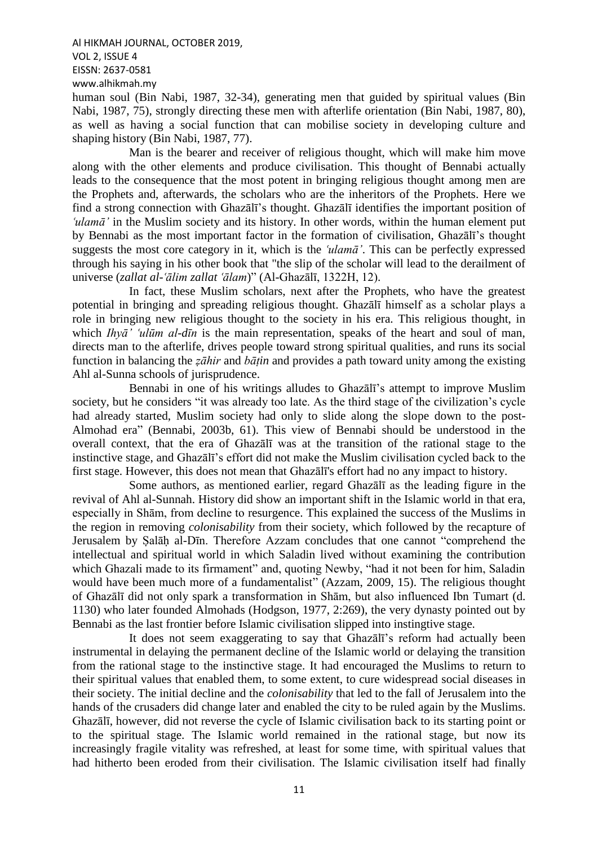Al HIKMAH JOURNAL, OCTOBER 2019, VOL 2, ISSUE 4 EISSN: 2637-0581

www.alhikmah.my

human soul (Bin Nabi, 1987, 32-34), generating men that guided by spiritual values (Bin Nabi, 1987, 75), strongly directing these men with afterlife orientation (Bin Nabi, 1987, 80), as well as having a social function that can mobilise society in developing culture and shaping history (Bin Nabi, 1987, 77).

Man is the bearer and receiver of religious thought, which will make him move along with the other elements and produce civilisation. This thought of Bennabi actually leads to the consequence that the most potent in bringing religious thought among men are the Prophets and, afterwards, the scholars who are the inheritors of the Prophets. Here we find a strong connection with Ghazālī's thought. Ghazālī identifies the important position of *<u>ulamā'*</u> in the Muslim society and its history. In other words, within the human element put by Bennabi as the most important factor in the formation of civilisation, Ghazālī's thought suggests the most core category in it, which is the *. This can be perfectly expressed* through his saying in his other book that "the slip of the scholar will lead to the derailment of universe (*zallat al-ꜥālim zallat ꜥālam*)" (Al-Ghazālī, 1322H, 12).

In fact, these Muslim scholars, next after the Prophets, who have the greatest potential in bringing and spreading religious thought. Ghazālī himself as a scholar plays a role in bringing new religious thought to the society in his era. This religious thought, in which *Ihyā' 'ulūm al-dīn* is the main representation, speaks of the heart and soul of man. directs man to the afterlife, drives people toward strong spiritual qualities, and runs its social function in balancing the *ẓāhir* and *bāṭin* and provides a path toward unity among the existing Ahl al-Sunna schools of jurisprudence.

Bennabi in one of his writings alludes to Ghazālī's attempt to improve Muslim society, but he considers "it was already too late. As the third stage of the civilization's cycle had already started, Muslim society had only to slide along the slope down to the post-Almohad era" (Bennabi, 2003b, 61). This view of Bennabi should be understood in the overall context, that the era of Ghazālī was at the transition of the rational stage to the instinctive stage, and Ghazālī's effort did not make the Muslim civilisation cycled back to the first stage. However, this does not mean that Ghazālī's effort had no any impact to history.

Some authors, as mentioned earlier, regard Ghazālī as the leading figure in the revival of Ahl al-Sunnah. History did show an important shift in the Islamic world in that era, especially in Shām, from decline to resurgence. This explained the success of the Muslims in the region in removing *colonisability* from their society, which followed by the recapture of Jerusalem by Ṣalāḥ al-Dīn. Therefore Azzam concludes that one cannot "comprehend the intellectual and spiritual world in which Saladin lived without examining the contribution which Ghazali made to its firmament" and, quoting Newby, "had it not been for him, Saladin would have been much more of a fundamentalist" (Azzam, 2009, 15). The religious thought of Ghazālī did not only spark a transformation in Shām, but also influenced Ibn Tumart (d. 1130) who later founded Almohads (Hodgson, 1977, 2:269), the very dynasty pointed out by Bennabi as the last frontier before Islamic civilisation slipped into instingtive stage.

It does not seem exaggerating to say that Ghazālī's reform had actually been instrumental in delaying the permanent decline of the Islamic world or delaying the transition from the rational stage to the instinctive stage. It had encouraged the Muslims to return to their spiritual values that enabled them, to some extent, to cure widespread social diseases in their society. The initial decline and the *colonisability* that led to the fall of Jerusalem into the hands of the crusaders did change later and enabled the city to be ruled again by the Muslims. Ghazālī, however, did not reverse the cycle of Islamic civilisation back to its starting point or to the spiritual stage. The Islamic world remained in the rational stage, but now its increasingly fragile vitality was refreshed, at least for some time, with spiritual values that had hitherto been eroded from their civilisation. The Islamic civilisation itself had finally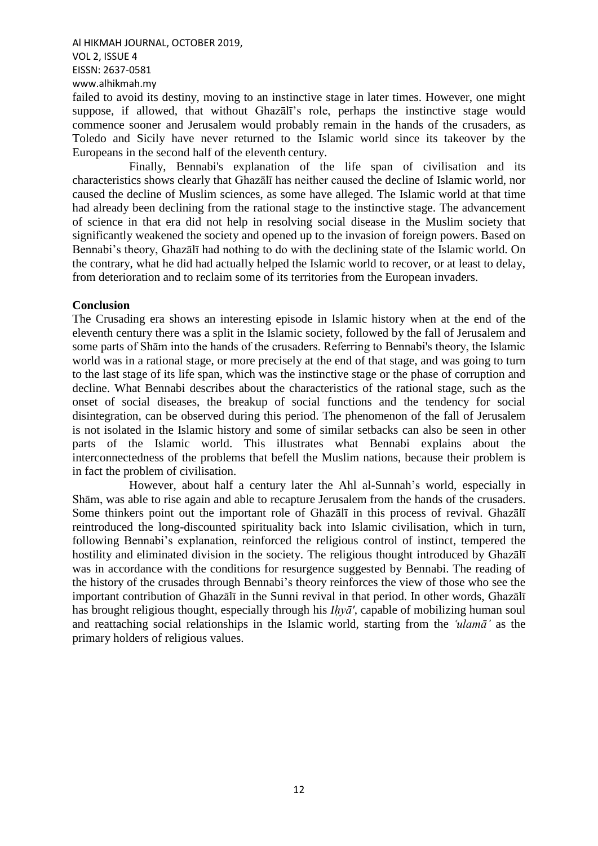failed to avoid its destiny, moving to an instinctive stage in later times. However, one might suppose, if allowed, that without Ghazālī's role, perhaps the instinctive stage would commence sooner and Jerusalem would probably remain in the hands of the crusaders, as Toledo and Sicily have never returned to the Islamic world since its takeover by the Europeans in the second half of the eleventh century.

Finally, Bennabi's explanation of the life span of civilisation and its characteristics shows clearly that Ghazālī has neither caused the decline of Islamic world, nor caused the decline of Muslim sciences, as some have alleged. The Islamic world at that time had already been declining from the rational stage to the instinctive stage. The advancement of science in that era did not help in resolving social disease in the Muslim society that significantly weakened the society and opened up to the invasion of foreign powers. Based on Bennabi's theory, Ghazālī had nothing to do with the declining state of the Islamic world. On the contrary, what he did had actually helped the Islamic world to recover, or at least to delay, from deterioration and to reclaim some of its territories from the European invaders.

### **Conclusion**

The Crusading era shows an interesting episode in Islamic history when at the end of the eleventh century there was a split in the Islamic society, followed by the fall of Jerusalem and some parts of Shām into the hands of the crusaders. Referring to Bennabi's theory, the Islamic world was in a rational stage, or more precisely at the end of that stage, and was going to turn to the last stage of its life span, which was the instinctive stage or the phase of corruption and decline. What Bennabi describes about the characteristics of the rational stage, such as the onset of social diseases, the breakup of social functions and the tendency for social disintegration, can be observed during this period. The phenomenon of the fall of Jerusalem is not isolated in the Islamic history and some of similar setbacks can also be seen in other parts of the Islamic world. This illustrates what Bennabi explains about the interconnectedness of the problems that befell the Muslim nations, because their problem is in fact the problem of civilisation.

However, about half a century later the Ahl al-Sunnah's world, especially in Shām, was able to rise again and able to recapture Jerusalem from the hands of the crusaders. Some thinkers point out the important role of Ghazālī in this process of revival. Ghazālī reintroduced the long-discounted spirituality back into Islamic civilisation, which in turn, following Bennabi's explanation, reinforced the religious control of instinct, tempered the hostility and eliminated division in the society. The religious thought introduced by Ghazālī was in accordance with the conditions for resurgence suggested by Bennabi. The reading of the history of the crusades through Bennabi's theory reinforces the view of those who see the important contribution of Ghazālī in the Sunni revival in that period. In other words, Ghazālī has brought religious thought, especially through his *Iḥyā'*, capable of mobilizing human soul and reattaching social relationships in the Islamic world, starting from the *'ulama'* as the primary holders of religious values.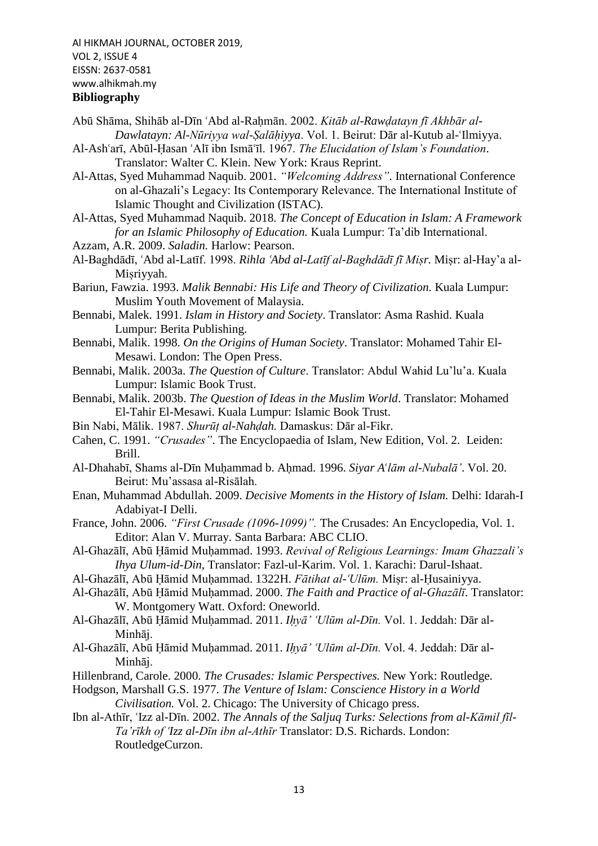# **Bibliography**

- Abū Shāma, Shihāb al-Dīn ʿAbd al-Rahmān. 2002. *Kitāb al-Rawdatayn fī Akhbār al-Dawlatayn: Al-Nūriyya wal-Ṣalāḥiyya*. Vol. 1. Beirut: Dār al-Kutub al-ꜥIlmiyya.
- Al-Ashꜥarī, Abūl-Ḥasan ꜥAlī ibn Ismāꜥīl. 1967. *The Elucidation of Islam's Foundation*. Translator: Walter C. Klein. New York: Kraus Reprint.
- Al-Attas, Syed Muhammad Naquib. 2001. *"Welcoming Address"*. International Conference on al-Ghazali's Legacy: Its Contemporary Relevance. The International Institute of Islamic Thought and Civilization (ISTAC).
- Al-Attas, Syed Muhammad Naquib. 2018. *The Concept of Education in Islam: A Framework for an Islamic Philosophy of Education.* Kuala Lumpur: Ta'dib International.
- Azzam, A.R. 2009. *Saladin.* Harlow: Pearson.
- Al-Baghdādī, ꜥAbd al-Latīf. 1998. *Rihla ꜥAbd al-Latīf al-Baghdādī fī Miṣr.* Miṣr: al-Hay'a al-Misriyyah.

Bariun, Fawzia. 1993. *Malik Bennabi: His Life and Theory of Civilization.* Kuala Lumpur: Muslim Youth Movement of Malaysia.

- Bennabi, Malek. 1991. *Islam in History and Society*. Translator: Asma Rashid. Kuala Lumpur: Berita Publishing.
- Bennabi, Malik. 1998. *On the Origins of Human Society*. Translator: Mohamed Tahir El-Mesawi. London: The Open Press.
- Bennabi, Malik. 2003a. *The Question of Culture*. Translator: Abdul Wahid Lu'lu'a. Kuala Lumpur: Islamic Book Trust.
- Bennabi, Malik. 2003b. *The Question of Ideas in the Muslim World*. Translator: Mohamed El-Tahir El-Mesawi. Kuala Lumpur: Islamic Book Trust.
- Bin Nabi, Mālik. 1987. *Shurūṭ al-Nahḍah.* Damaskus: Dār al-Fikr.
- Cahen, C. 1991. *"Crusades"*. The Encyclopaedia of Islam*,* New Edition, Vol. 2. Leiden: Brill.
- Al-Dhahabī, Shams al-Dīn Muḥammad b. Aḥmad. 1996. *Siyar A*ꜥ*lām al-Nubalā'*. Vol. 20. Beirut: Mu'assasa al-Risālah.
- Enan, Muhammad Abdullah. 2009. *Decisive Moments in the History of Islam.* Delhi: Idarah-I Adabiyat-I Delli.
- France, John. 2006. *"First Crusade (1096-1099)".* The Crusades: An Encyclopedia, Vol. 1. Editor: Alan V. Murray. Santa Barbara: ABC CLIO.
- Al-Ghazālī, Abū Ḥāmid Muḥammad. 1993. *Revival of Religious Learnings: Imam Ghazzali's Ihya Ulum-id-Din*, Translator: Fazl-ul-Karim. Vol. 1. Karachi: Darul-Ishaat.
- Al-Ghazālī, Abū Ḥāmid Muḥammad. 1322H. *Fātihat al-ꜥUlūm.* Miṣr: al-Ḥusainiyya.
- Al-Ghazālī, Abū Ḥāmid Muḥammad. 2000. *The Faith and Practice of al-Ghazālī*. Translator: W. Montgomery Watt. Oxford: Oneworld.
- Al-Ghazālī, Abū Ḥāmid Muḥammad. 2011. *Iḥyā' ꜥUlūm al-Dīn.* Vol. 1. Jeddah: Dār al-Minhāj.
- Al-Ghazālī, Abū Ḥāmid Muḥammad. 2011. *Iḥyā' ꜥUlūm al-Dīn.* Vol. 4. Jeddah: Dār al-Minhāj.
- Hillenbrand, Carole. 2000. *The Crusades: Islamic Perspectives.* New York: Routledge.
- Hodgson, Marshall G.S. 1977. *The Venture of Islam: Conscience History in a World Civilisation.* Vol. 2. Chicago: The University of Chicago press.
- Ibn al-Athīr, 'Izz al-Dīn. 2002. *The Annals of the Saljuq Turks: Selections from al-Kāmil fīl-Ta'rīkh of ꜥIzz al-Dīn ibn al-Athīr* Translator: D.S. Richards. London: RoutledgeCurzon.